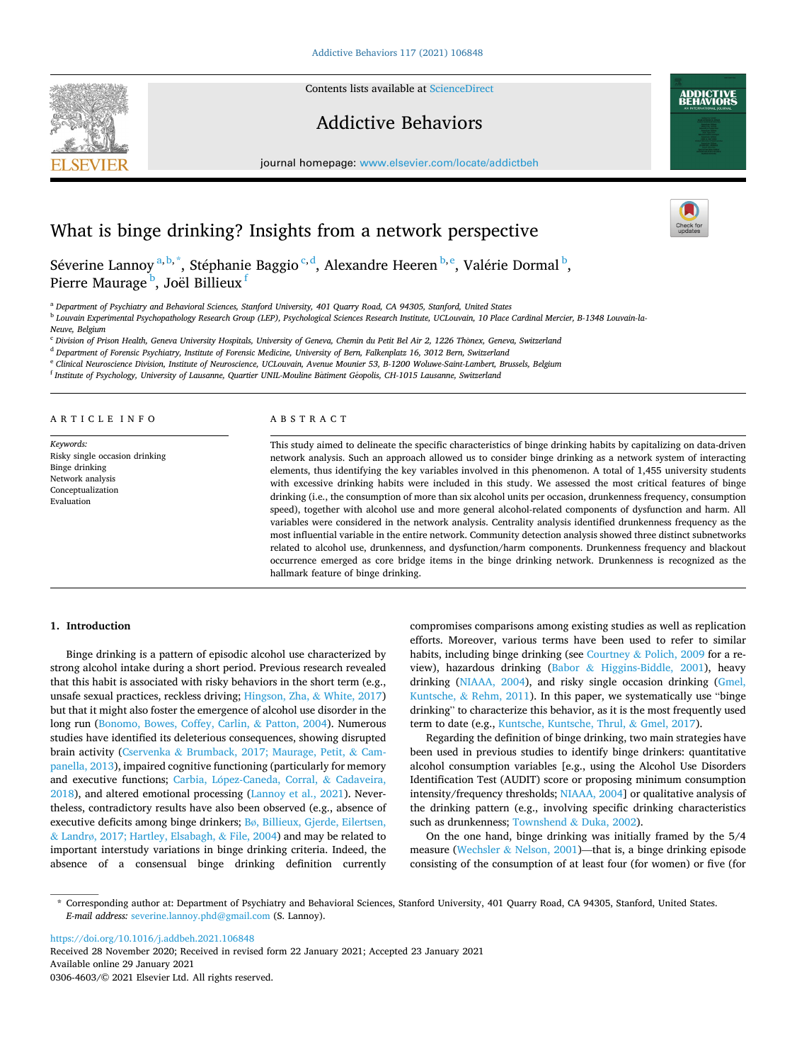Contents lists available at [ScienceDirect](www.sciencedirect.com/science/journal/03064603)

# Addictive Behaviors

journal homepage: [www.elsevier.com/locate/addictbeh](https://www.elsevier.com/locate/addictbeh) 



Séverine Lannoy<sup>a, b, \*</sup>, Stéphanie Baggio<sup>c, d</sup>, Alexandre Heeren <sup>b, e</sup>, Valérie Dormal <sup>b</sup>, Pierre Maurage <sup>b</sup>, Joël Billieux <sup>f</sup>

<sup>a</sup> *Department of Psychiatry and Behavioral Sciences, Stanford University, 401 Quarry Road, CA 94305, Stanford, United States* 

<sup>b</sup> *Louvain Experimental Psychopathology Research Group (LEP), Psychological Sciences Research Institute, UCLouvain, 10 Place Cardinal Mercier, B-1348 Louvain-la-*

*Neuve, Belgium* 

<sup>c</sup> Division of Prison Health, Geneva University Hospitals, University of Geneva, Chemin du Petit Bel Air 2, 1226 Thônex, Geneva, Switzerland

<sup>d</sup> *Department of Forensic Psychiatry, Institute of Forensic Medicine, University of Bern, Falkenplatz 16, 3012 Bern, Switzerland* 

<sup>e</sup> *Clinical Neuroscience Division, Institute of Neuroscience, UCLouvain, Avenue Mounier 53, B-1200 Woluwe-Saint-Lambert, Brussels, Belgium* 

<sup>f</sup> *Institute of Psychology, University of Lausanne, Quartier UNIL-Mouline Batiment* ˆ *G*´*eopolis, CH-1015 Lausanne, Switzerland* 

#### ARTICLE INFO

*Keywords:*  Risky single occasion drinking Binge drinking Network analysis Conceptualization Evaluation

#### ABSTRACT

This study aimed to delineate the specific characteristics of binge drinking habits by capitalizing on data-driven network analysis. Such an approach allowed us to consider binge drinking as a network system of interacting elements, thus identifying the key variables involved in this phenomenon. A total of 1,455 university students with excessive drinking habits were included in this study. We assessed the most critical features of binge drinking (i.e., the consumption of more than six alcohol units per occasion, drunkenness frequency, consumption speed), together with alcohol use and more general alcohol-related components of dysfunction and harm. All variables were considered in the network analysis. Centrality analysis identified drunkenness frequency as the most influential variable in the entire network. Community detection analysis showed three distinct subnetworks related to alcohol use, drunkenness, and dysfunction/harm components. Drunkenness frequency and blackout occurrence emerged as core bridge items in the binge drinking network. Drunkenness is recognized as the hallmark feature of binge drinking.

# **1. Introduction**

Binge drinking is a pattern of episodic alcohol use characterized by strong alcohol intake during a short period. Previous research revealed that this habit is associated with risky behaviors in the short term (e.g., unsafe sexual practices, reckless driving; [Hingson, Zha,](#page-5-0) & White, 2017) but that it might also foster the emergence of alcohol use disorder in the long run ([Bonomo, Bowes, Coffey, Carlin,](#page-4-0) & Patton, 2004). Numerous studies have identified its deleterious consequences, showing disrupted brain activity (Cservenka & [Brumback, 2017; Maurage, Petit,](#page-5-0) & Cam[panella, 2013](#page-5-0)), impaired cognitive functioning (particularly for memory and executive functions; Carbia, López-Caneda, Corral, & Cadaveira, [2018\)](#page-4-0), and altered emotional processing ([Lannoy et al., 2021](#page-5-0)). Nevertheless, contradictory results have also been observed (e.g., absence of executive deficits among binge drinkers; Bø[, Billieux, Gjerde, Eilertsen,](#page-4-0)  & Landrø[, 2017; Hartley, Elsabagh,](#page-4-0) & File, 2004) and may be related to important interstudy variations in binge drinking criteria. Indeed, the absence of a consensual binge drinking definition currently

compromises comparisons among existing studies as well as replication efforts. Moreover, various terms have been used to refer to similar habits, including binge drinking (see Courtney & [Polich, 2009](#page-5-0) for a review), hazardous drinking (Babor & [Higgins-Biddle, 2001](#page-4-0)), heavy drinking ([NIAAA, 2004\)](#page-5-0), and risky single occasion drinking ([Gmel,](#page-5-0)  Kuntsche, & [Rehm, 2011](#page-5-0)). In this paper, we systematically use "binge drinking" to characterize this behavior, as it is the most frequently used term to date (e.g., [Kuntsche, Kuntsche, Thrul,](#page-5-0) & Gmel, 2017).

Regarding the definition of binge drinking, two main strategies have been used in previous studies to identify binge drinkers: quantitative alcohol consumption variables [e.g., using the Alcohol Use Disorders Identification Test (AUDIT) score or proposing minimum consumption intensity/frequency thresholds; [NIAAA, 2004\]](#page-5-0) or qualitative analysis of the drinking pattern (e.g., involving specific drinking characteristics such as drunkenness; [Townshend](#page-5-0) & Duka, 2002).

On the one hand, binge drinking was initially framed by the 5/4 measure (Wechsler & [Nelson, 2001\)](#page-5-0)—that is, a binge drinking episode consisting of the consumption of at least four (for women) or five (for

<https://doi.org/10.1016/j.addbeh.2021.106848>

Available online 29 January 2021 0306-4603/© 2021 Elsevier Ltd. All rights reserved. Received 28 November 2020; Received in revised form 22 January 2021; Accepted 23 January 2021





<sup>\*</sup> Corresponding author at: Department of Psychiatry and Behavioral Sciences, Stanford University, 401 Quarry Road, CA 94305, Stanford, United States. *E-mail address:* [severine.lannoy.phd@gmail.com](mailto:severine.lannoy.phd@gmail.com) (S. Lannoy).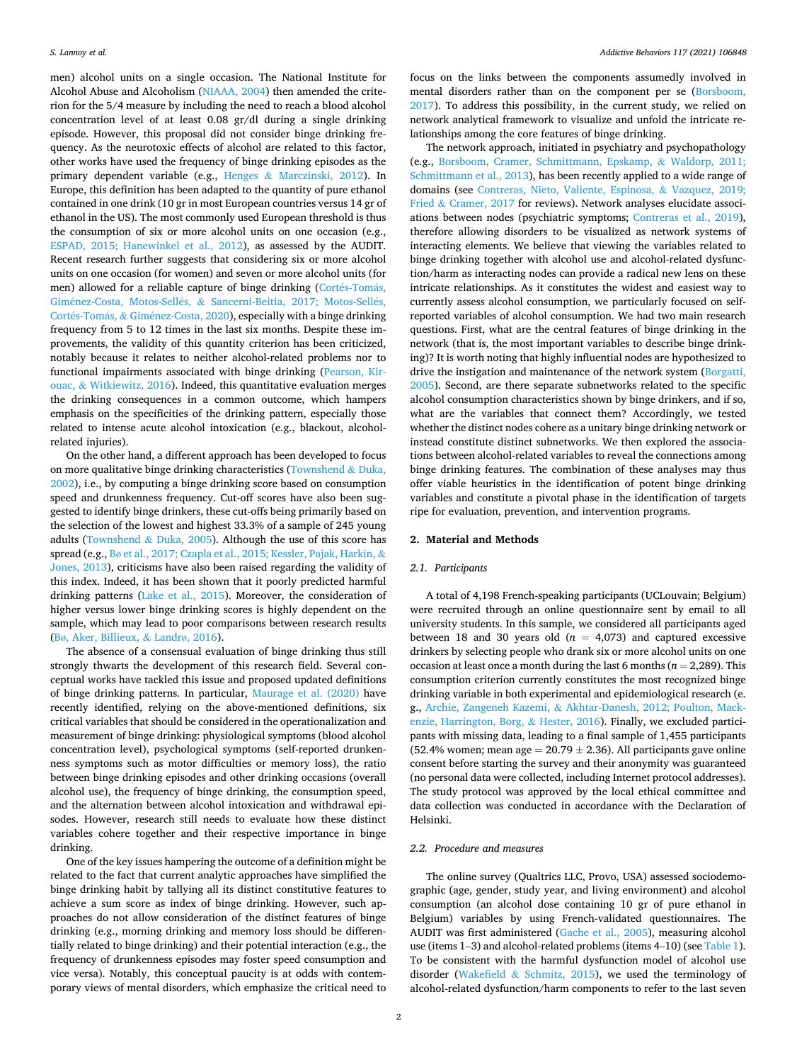men) alcohol units on a single occasion. The National Institute for Alcohol Abuse and Alcoholism [\(NIAAA, 2004](#page-5-0)) then amended the criterion for the 5/4 measure by including the need to reach a blood alcohol concentration level of at least 0.08 gr/dl during a single drinking episode. However, this proposal did not consider binge drinking frequency. As the neurotoxic effects of alcohol are related to this factor, other works have used the frequency of binge drinking episodes as the primary dependent variable (e.g., Henges & [Marczinski, 2012\)](#page-5-0). In Europe, this definition has been adapted to the quantity of pure ethanol contained in one drink (10 gr in most European countries versus 14 gr of ethanol in the US). The most commonly used European threshold is thus the consumption of six or more alcohol units on one occasion (e.g., [ESPAD, 2015; Hanewinkel et al., 2012\)](#page-5-0), as assessed by the AUDIT. Recent research further suggests that considering six or more alcohol units on one occasion (for women) and seven or more alcohol units (for men) allowed for a reliable capture of binge drinking (Cortés-Tomás, Giménez-Costa, Motos-Sellés, & [Sancerni-Beitia, 2017; Motos-Sell](#page-4-0)és, Cortés-Tomás, & Giménez-Costa, 2020), especially with a binge drinking frequency from 5 to 12 times in the last six months. Despite these improvements, the validity of this quantity criterion has been criticized, notably because it relates to neither alcohol-related problems nor to functional impairments associated with binge drinking [\(Pearson, Kir](#page-5-0)ouac, & [Witkiewitz, 2016\)](#page-5-0). Indeed, this quantitative evaluation merges the drinking consequences in a common outcome, which hampers emphasis on the specificities of the drinking pattern, especially those related to intense acute alcohol intoxication (e.g., blackout, alcoholrelated injuries).

On the other hand, a different approach has been developed to focus on more qualitative binge drinking characteristics [\(Townshend](#page-5-0) & Duka, [2002\)](#page-5-0), i.e., by computing a binge drinking score based on consumption speed and drunkenness frequency. Cut-off scores have also been suggested to identify binge drinkers, these cut-offs being primarily based on the selection of the lowest and highest 33.3% of a sample of 245 young adults ([Townshend](#page-5-0) & Duka, 2005). Although the use of this score has spread (e.g., Bø [et al., 2017; Czapla et al., 2015; Kessler, Pajak, Harkin,](#page-4-0) & [Jones, 2013](#page-4-0)), criticisms have also been raised regarding the validity of this index. Indeed, it has been shown that it poorly predicted harmful drinking patterns ([Lake et al., 2015\)](#page-5-0). Moreover, the consideration of higher versus lower binge drinking scores is highly dependent on the sample, which may lead to poor comparisons between research results (Bø[, Aker, Billieux,](#page-4-0) & Landrø, 2016).

The absence of a consensual evaluation of binge drinking thus still strongly thwarts the development of this research field. Several conceptual works have tackled this issue and proposed updated definitions of binge drinking patterns. In particular, [Maurage et al. \(2020\)](#page-5-0) have recently identified, relying on the above-mentioned definitions, six critical variables that should be considered in the operationalization and measurement of binge drinking: physiological symptoms (blood alcohol concentration level), psychological symptoms (self-reported drunkenness symptoms such as motor difficulties or memory loss), the ratio between binge drinking episodes and other drinking occasions (overall alcohol use), the frequency of binge drinking, the consumption speed, and the alternation between alcohol intoxication and withdrawal episodes. However, research still needs to evaluate how these distinct variables cohere together and their respective importance in binge drinking.

One of the key issues hampering the outcome of a definition might be related to the fact that current analytic approaches have simplified the binge drinking habit by tallying all its distinct constitutive features to achieve a sum score as index of binge drinking. However, such approaches do not allow consideration of the distinct features of binge drinking (e.g., morning drinking and memory loss should be differentially related to binge drinking) and their potential interaction (e.g., the frequency of drunkenness episodes may foster speed consumption and vice versa). Notably, this conceptual paucity is at odds with contemporary views of mental disorders, which emphasize the critical need to

focus on the links between the components assumedly involved in mental disorders rather than on the component per se [\(Borsboom,](#page-4-0)  [2017\)](#page-4-0). To address this possibility, in the current study, we relied on network analytical framework to visualize and unfold the intricate relationships among the core features of binge drinking.

The network approach, initiated in psychiatry and psychopathology (e.g., [Borsboom, Cramer, Schmittmann, Epskamp,](#page-4-0) & Waldorp, 2011; [Schmittmann et al., 2013](#page-4-0)), has been recently applied to a wide range of domains (see [Contreras, Nieto, Valiente, Espinosa,](#page-4-0) & Vazquez, 2019; Fried & [Cramer, 2017](#page-4-0) for reviews). Network analyses elucidate associations between nodes (psychiatric symptoms; [Contreras et al., 2019](#page-4-0)), therefore allowing disorders to be visualized as network systems of interacting elements. We believe that viewing the variables related to binge drinking together with alcohol use and alcohol-related dysfunction/harm as interacting nodes can provide a radical new lens on these intricate relationships. As it constitutes the widest and easiest way to currently assess alcohol consumption, we particularly focused on selfreported variables of alcohol consumption. We had two main research questions. First, what are the central features of binge drinking in the network (that is, the most important variables to describe binge drinking)? It is worth noting that highly influential nodes are hypothesized to drive the instigation and maintenance of the network system [\(Borgatti,](#page-4-0)  [2005\)](#page-4-0). Second, are there separate subnetworks related to the specific alcohol consumption characteristics shown by binge drinkers, and if so, what are the variables that connect them? Accordingly, we tested whether the distinct nodes cohere as a unitary binge drinking network or instead constitute distinct subnetworks. We then explored the associations between alcohol-related variables to reveal the connections among binge drinking features. The combination of these analyses may thus offer viable heuristics in the identification of potent binge drinking variables and constitute a pivotal phase in the identification of targets ripe for evaluation, prevention, and intervention programs.

## **2. Material and Methods**

#### *2.1. Participants*

A total of 4,198 French-speaking participants (UCLouvain; Belgium) were recruited through an online questionnaire sent by email to all university students. In this sample, we considered all participants aged between 18 and 30 years old ( $n = 4,073$ ) and captured excessive drinkers by selecting people who drank six or more alcohol units on one occasion at least once a month during the last 6 months ( $n = 2,289$ ). This consumption criterion currently constitutes the most recognized binge drinking variable in both experimental and epidemiological research (e. g., Archie, Zangeneh Kazemi, & [Akhtar-Danesh, 2012; Poulton, Mack](#page-4-0)[enzie, Harrington, Borg,](#page-4-0) & Hester, 2016). Finally, we excluded participants with missing data, leading to a final sample of 1,455 participants (52.4% women; mean age  $= 20.79 \pm 2.36$ ). All participants gave online consent before starting the survey and their anonymity was guaranteed (no personal data were collected, including Internet protocol addresses). The study protocol was approved by the local ethical committee and data collection was conducted in accordance with the Declaration of Helsinki.

# *2.2. Procedure and measures*

The online survey (Qualtrics LLC, Provo, USA) assessed sociodemographic (age, gender, study year, and living environment) and alcohol consumption (an alcohol dose containing 10 gr of pure ethanol in Belgium) variables by using French-validated questionnaires. The AUDIT was first administered ([Gache et al., 2005](#page-5-0)), measuring alcohol use (items 1–3) and alcohol-related problems (items 4–10) (see [Table 1](#page-2-0)). To be consistent with the harmful dysfunction model of alcohol use disorder (Wakefield & [Schmitz, 2015\)](#page-5-0), we used the terminology of alcohol-related dysfunction/harm components to refer to the last seven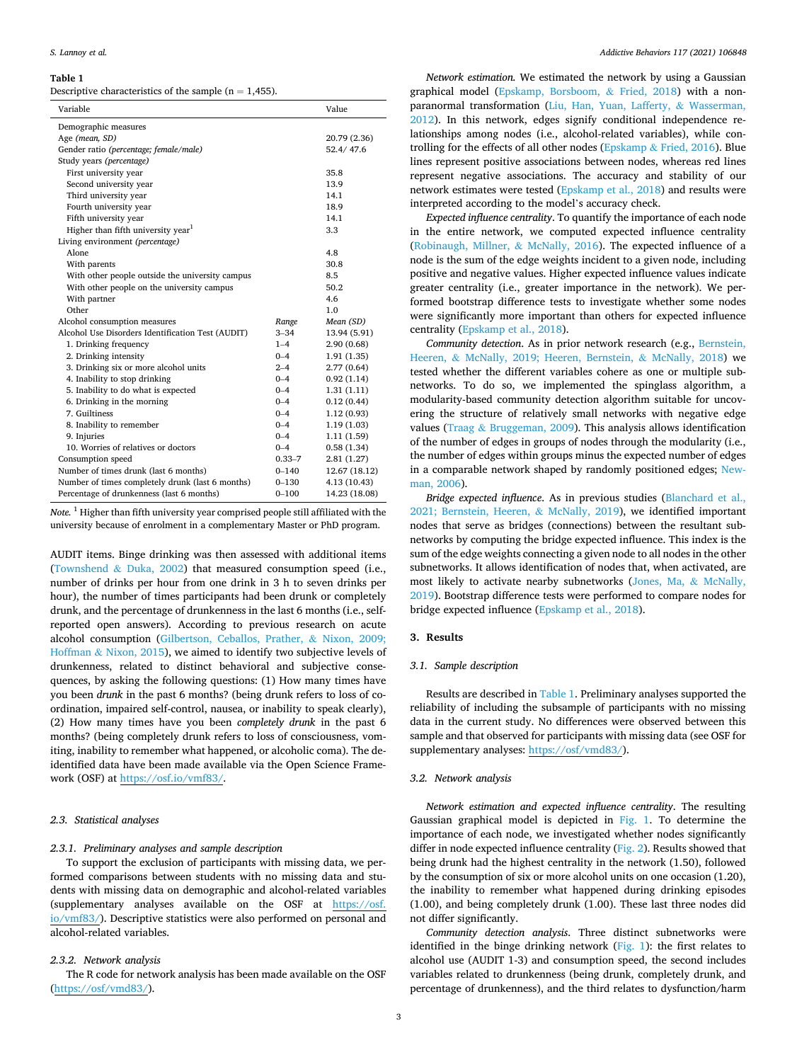## <span id="page-2-0"></span>**Table 1**

|  | Descriptive characteristics of the sample $(n = 1,455)$ . |  |  |  |  |
|--|-----------------------------------------------------------|--|--|--|--|
|--|-----------------------------------------------------------|--|--|--|--|

| Variable                                          |              | Value         |  |  |
|---------------------------------------------------|--------------|---------------|--|--|
| Demographic measures                              |              |               |  |  |
| Age (mean, SD)                                    | 20.79 (2.36) |               |  |  |
| Gender ratio (percentage; female/male)            | 52.4/47.6    |               |  |  |
| Study years (percentage)                          |              |               |  |  |
| First university year                             | 35.8         |               |  |  |
| Second university year                            | 13.9         |               |  |  |
| Third university year                             | 14.1         |               |  |  |
| Fourth university year                            | 18.9         |               |  |  |
| Fifth university year                             | 14.1         |               |  |  |
| Higher than fifth university year <sup>1</sup>    | 3.3          |               |  |  |
| Living environment (percentage)                   |              |               |  |  |
| Alone                                             | 4.8          |               |  |  |
| With parents                                      | 30.8         |               |  |  |
| With other people outside the university campus   | 8.5          |               |  |  |
| With other people on the university campus        | 50.2         |               |  |  |
| With partner                                      | 4.6          |               |  |  |
| Other                                             | 1.0          |               |  |  |
| Alcohol consumption measures                      | Range        | Mean (SD)     |  |  |
| Alcohol Use Disorders Identification Test (AUDIT) | $3 - 34$     | 13.94 (5.91)  |  |  |
| 1. Drinking frequency                             | $1 - 4$      | 2.90(0.68)    |  |  |
| 2. Drinking intensity                             | $0 - 4$      | 1.91(1.35)    |  |  |
| 3. Drinking six or more alcohol units             | $2 - 4$      | 2.77(0.64)    |  |  |
| 4. Inability to stop drinking                     | $0 - 4$      | 0.92(1.14)    |  |  |
| 5. Inability to do what is expected               | $0 - 4$      | 1.31(1.11)    |  |  |
| 6. Drinking in the morning                        | $0 - 4$      | 0.12(0.44)    |  |  |
| 7. Guiltiness                                     | $0 - 4$      | 1.12(0.93)    |  |  |
| 8. Inability to remember                          | $0 - 4$      | 1.19(1.03)    |  |  |
| 9. Injuries                                       | $0 - 4$      | 1.11(1.59)    |  |  |
| 10. Worries of relatives or doctors               | $0 - 4$      | 0.58(1.34)    |  |  |
| Consumption speed                                 | $0.33 - 7$   | 2.81(1.27)    |  |  |
| Number of times drunk (last 6 months)             | $0 - 140$    | 12.67 (18.12) |  |  |
| Number of times completely drunk (last 6 months)  | $0 - 130$    | 4.13 (10.43)  |  |  |
| Percentage of drunkenness (last 6 months)         | $0 - 100$    | 14.23 (18.08) |  |  |

*Note.* 1 Higher than fifth university year comprised people still affiliated with the university because of enrolment in a complementary Master or PhD program.

AUDIT items. Binge drinking was then assessed with additional items ([Townshend](#page-5-0) & Duka, 2002) that measured consumption speed (i.e., number of drinks per hour from one drink in 3 h to seven drinks per hour), the number of times participants had been drunk or completely drunk, and the percentage of drunkenness in the last 6 months (i.e., selfreported open answers). According to previous research on acute alcohol consumption ([Gilbertson, Ceballos, Prather,](#page-5-0) & Nixon, 2009; Hoffman & [Nixon, 2015\)](#page-5-0), we aimed to identify two subjective levels of drunkenness, related to distinct behavioral and subjective consequences, by asking the following questions: (1) How many times have you been *drunk* in the past 6 months? (being drunk refers to loss of coordination, impaired self-control, nausea, or inability to speak clearly), (2) How many times have you been *completely drunk* in the past 6 months? (being completely drunk refers to loss of consciousness, vomiting, inability to remember what happened, or alcoholic coma). The deidentified data have been made available via the Open Science Framework (OSF) at [https://osf.io/vmf83/.](https://osf.io/vmf83/)

# *2.3. Statistical analyses*

## *2.3.1. Preliminary analyses and sample description*

To support the exclusion of participants with missing data, we performed comparisons between students with no missing data and students with missing data on demographic and alcohol-related variables (supplementary analyses available on the OSF at [https://osf.](https://osf.io/vmf83/)  [io/vmf83/\)](https://osf.io/vmf83/). Descriptive statistics were also performed on personal and alcohol-related variables.

### *2.3.2. Network analysis*

The R code for network analysis has been made available on the OSF ([https://osf/vmd83/\)](https://osf.io/vmf83/).

*Network estimation.* We estimated the network by using a Gaussian graphical model ([Epskamp, Borsboom,](#page-5-0) & Fried, 2018) with a nonparanormal transformation [\(Liu, Han, Yuan, Lafferty,](#page-5-0) & Wasserman, [2012\)](#page-5-0). In this network, edges signify conditional independence relationships among nodes (i.e., alcohol-related variables), while controlling for the effects of all other nodes (Epskamp & [Fried, 2016\)](#page-5-0). Blue lines represent positive associations between nodes, whereas red lines represent negative associations. The accuracy and stability of our network estimates were tested [\(Epskamp et al., 2018](#page-5-0)) and results were interpreted according to the model's accuracy check.

*Expected influence centrality*. To quantify the importance of each node in the entire network, we computed expected influence centrality ([Robinaugh, Millner,](#page-5-0) & McNally, 2016). The expected influence of a node is the sum of the edge weights incident to a given node, including positive and negative values. Higher expected influence values indicate greater centrality (i.e., greater importance in the network). We performed bootstrap difference tests to investigate whether some nodes were significantly more important than others for expected influence centrality ([Epskamp et al., 2018](#page-5-0)).

*Community detection*. As in prior network research (e.g., [Bernstein,](#page-4-0)  Heeren, & [McNally, 2019; Heeren, Bernstein,](#page-4-0) & McNally, 2018) we tested whether the different variables cohere as one or multiple subnetworks. To do so, we implemented the spinglass algorithm, a modularity-based community detection algorithm suitable for uncovering the structure of relatively small networks with negative edge values (Traag & [Bruggeman, 2009](#page-5-0)). This analysis allows identification of the number of edges in groups of nodes through the modularity (i.e., the number of edges within groups minus the expected number of edges in a comparable network shaped by randomly positioned edges; [New](#page-5-0)[man, 2006\)](#page-5-0).

*Bridge expected influence*. As in previous studies ([Blanchard et al.,](#page-4-0)  [2021; Bernstein, Heeren,](#page-4-0) & McNally, 2019), we identified important nodes that serve as bridges (connections) between the resultant subnetworks by computing the bridge expected influence. This index is the sum of the edge weights connecting a given node to all nodes in the other subnetworks. It allows identification of nodes that, when activated, are most likely to activate nearby subnetworks ([Jones, Ma,](#page-5-0) & McNally, [2019\)](#page-5-0). Bootstrap difference tests were performed to compare nodes for bridge expected influence ([Epskamp et al., 2018](#page-5-0)).

## **3. Results**

# *3.1. Sample description*

Results are described in Table 1. Preliminary analyses supported the reliability of including the subsample of participants with no missing data in the current study. No differences were observed between this sample and that observed for participants with missing data (see OSF for supplementary analyses: [https://osf/vmd83/](https://osf.io/vmf83/)).

## *3.2. Network analysis*

*Network estimation and expected influence centrality*. The resulting Gaussian graphical model is depicted in [Fig. 1.](#page-3-0) To determine the importance of each node, we investigated whether nodes significantly differ in node expected influence centrality ([Fig. 2\)](#page-3-0). Results showed that being drunk had the highest centrality in the network (1.50), followed by the consumption of six or more alcohol units on one occasion (1.20), the inability to remember what happened during drinking episodes (1.00), and being completely drunk (1.00). These last three nodes did not differ significantly.

*Community detection analysis*. Three distinct subnetworks were identified in the binge drinking network [\(Fig. 1\)](#page-3-0): the first relates to alcohol use (AUDIT 1-3) and consumption speed, the second includes variables related to drunkenness (being drunk, completely drunk, and percentage of drunkenness), and the third relates to dysfunction/harm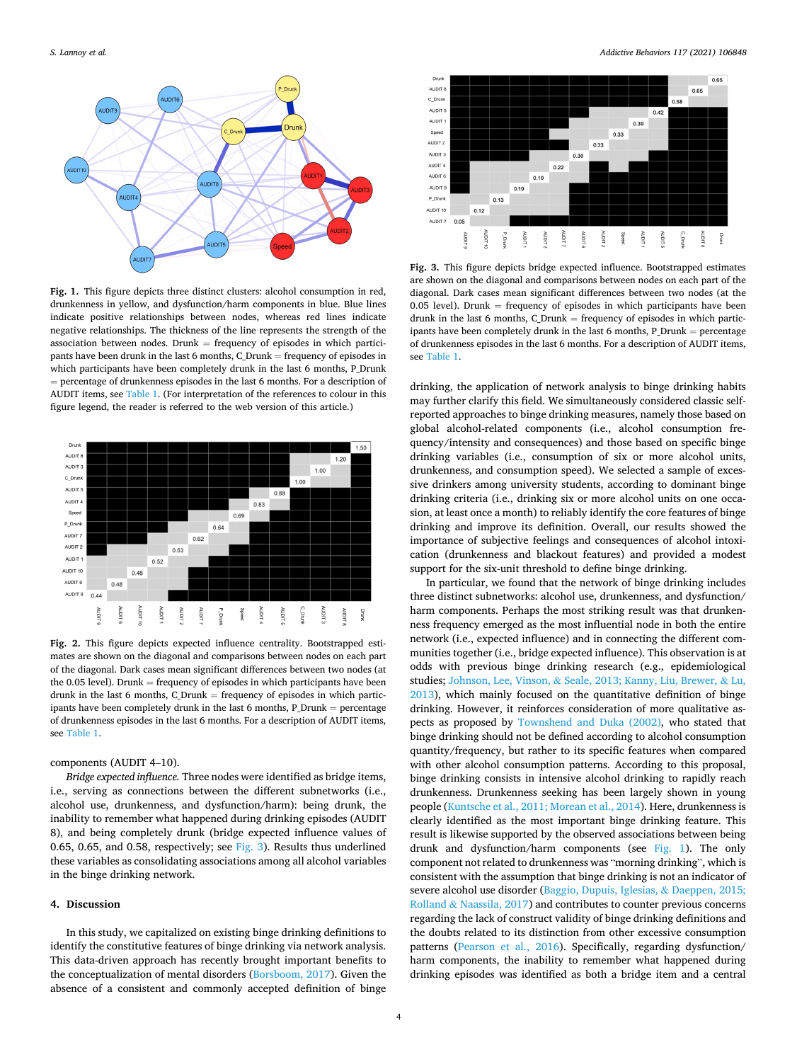<span id="page-3-0"></span>

**Fig. 1.** This figure depicts three distinct clusters: alcohol consumption in red, drunkenness in yellow, and dysfunction/harm components in blue. Blue lines indicate positive relationships between nodes, whereas red lines indicate negative relationships. The thickness of the line represents the strength of the association between nodes. Drunk  $=$  frequency of episodes in which participants have been drunk in the last 6 months, C\_Drunk = frequency of episodes in which participants have been completely drunk in the last 6 months, P\_Drunk = percentage of drunkenness episodes in the last 6 months. For a description of AUDIT items, see [Table 1.](#page-2-0) (For interpretation of the references to colour in this figure legend, the reader is referred to the web version of this article.)



**Fig. 2.** This figure depicts expected influence centrality. Bootstrapped estimates are shown on the diagonal and comparisons between nodes on each part of the diagonal. Dark cases mean significant differences between two nodes (at the  $0.05$  level). Drunk = frequency of episodes in which participants have been drunk in the last 6 months, C\_Drunk = frequency of episodes in which participants have been completely drunk in the last 6 months, P\_Drunk = percentage of drunkenness episodes in the last 6 months. For a description of AUDIT items, see [Table 1.](#page-2-0)

components (AUDIT 4–10).

*Bridge expected influence.* Three nodes were identified as bridge items, i.e., serving as connections between the different subnetworks (i.e., alcohol use, drunkenness, and dysfunction/harm): being drunk, the inability to remember what happened during drinking episodes (AUDIT 8), and being completely drunk (bridge expected influence values of 0.65, 0.65, and 0.58, respectively; see Fig. 3). Results thus underlined these variables as consolidating associations among all alcohol variables in the binge drinking network.

#### **4. Discussion**

In this study, we capitalized on existing binge drinking definitions to identify the constitutive features of binge drinking via network analysis. This data-driven approach has recently brought important benefits to the conceptualization of mental disorders [\(Borsboom, 2017](#page-4-0)). Given the absence of a consistent and commonly accepted definition of binge



**Fig. 3.** This figure depicts bridge expected influence. Bootstrapped estimates are shown on the diagonal and comparisons between nodes on each part of the diagonal. Dark cases mean significant differences between two nodes (at the  $0.05$  level). Drunk = frequency of episodes in which participants have been drunk in the last 6 months,  $C$  Drunk = frequency of episodes in which participants have been completely drunk in the last 6 months, P\_Drunk = percentage of drunkenness episodes in the last 6 months. For a description of AUDIT items, see [Table 1.](#page-2-0)

drinking, the application of network analysis to binge drinking habits may further clarify this field. We simultaneously considered classic selfreported approaches to binge drinking measures, namely those based on global alcohol-related components (i.e., alcohol consumption frequency/intensity and consequences) and those based on specific binge drinking variables (i.e., consumption of six or more alcohol units, drunkenness, and consumption speed). We selected a sample of excessive drinkers among university students, according to dominant binge drinking criteria (i.e., drinking six or more alcohol units on one occasion, at least once a month) to reliably identify the core features of binge drinking and improve its definition. Overall, our results showed the importance of subjective feelings and consequences of alcohol intoxication (drunkenness and blackout features) and provided a modest support for the six-unit threshold to define binge drinking.

In particular, we found that the network of binge drinking includes three distinct subnetworks: alcohol use, drunkenness, and dysfunction/ harm components. Perhaps the most striking result was that drunkenness frequency emerged as the most influential node in both the entire network (i.e., expected influence) and in connecting the different communities together (i.e., bridge expected influence). This observation is at odds with previous binge drinking research (e.g., epidemiological studies; Johnson, Lee, Vinson, & [Seale, 2013; Kanny, Liu, Brewer,](#page-5-0) & Lu, [2013\)](#page-5-0), which mainly focused on the quantitative definition of binge drinking. However, it reinforces consideration of more qualitative aspects as proposed by [Townshend and Duka \(2002\)](#page-5-0), who stated that binge drinking should not be defined according to alcohol consumption quantity/frequency, but rather to its specific features when compared with other alcohol consumption patterns. According to this proposal, binge drinking consists in intensive alcohol drinking to rapidly reach drunkenness. Drunkenness seeking has been largely shown in young people ([Kuntsche et al., 2011; Morean et al., 2014\)](#page-5-0). Here, drunkenness is clearly identified as the most important binge drinking feature. This result is likewise supported by the observed associations between being drunk and dysfunction/harm components (see Fig. 1). The only component not related to drunkenness was "morning drinking", which is consistent with the assumption that binge drinking is not an indicator of severe alcohol use disorder ([Baggio, Dupuis, Iglesias,](#page-4-0) & Daeppen, 2015; Rolland & [Naassila, 2017](#page-4-0)) and contributes to counter previous concerns regarding the lack of construct validity of binge drinking definitions and the doubts related to its distinction from other excessive consumption patterns [\(Pearson et al., 2016](#page-5-0)). Specifically, regarding dysfunction/ harm components, the inability to remember what happened during drinking episodes was identified as both a bridge item and a central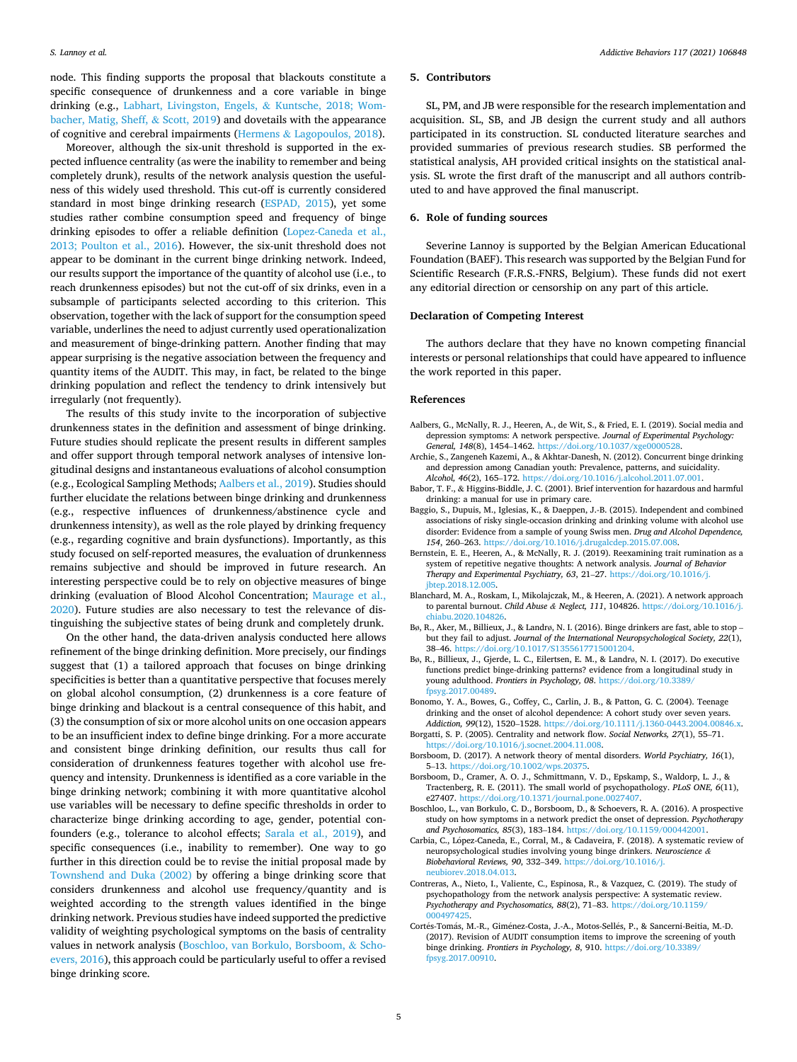<span id="page-4-0"></span>node. This finding supports the proposal that blackouts constitute a specific consequence of drunkenness and a core variable in binge drinking (e.g., [Labhart, Livingston, Engels,](#page-5-0) & Kuntsche, 2018; Wom[bacher, Matig, Sheff,](#page-5-0) & Scott, 2019) and dovetails with the appearance of cognitive and cerebral impairments (Hermens & [Lagopoulos, 2018\)](#page-5-0).

Moreover, although the six-unit threshold is supported in the expected influence centrality (as were the inability to remember and being completely drunk), results of the network analysis question the usefulness of this widely used threshold. This cut-off is currently considered standard in most binge drinking research ([ESPAD, 2015](#page-5-0)), yet some studies rather combine consumption speed and frequency of binge drinking episodes to offer a reliable definition ([Lopez-Caneda et al.,](#page-5-0)  [2013; Poulton et al., 2016\)](#page-5-0). However, the six-unit threshold does not appear to be dominant in the current binge drinking network. Indeed, our results support the importance of the quantity of alcohol use (i.e., to reach drunkenness episodes) but not the cut-off of six drinks, even in a subsample of participants selected according to this criterion. This observation, together with the lack of support for the consumption speed variable, underlines the need to adjust currently used operationalization and measurement of binge-drinking pattern. Another finding that may appear surprising is the negative association between the frequency and quantity items of the AUDIT. This may, in fact, be related to the binge drinking population and reflect the tendency to drink intensively but irregularly (not frequently).

The results of this study invite to the incorporation of subjective drunkenness states in the definition and assessment of binge drinking. Future studies should replicate the present results in different samples and offer support through temporal network analyses of intensive longitudinal designs and instantaneous evaluations of alcohol consumption (e.g., Ecological Sampling Methods; Aalbers et al., 2019). Studies should further elucidate the relations between binge drinking and drunkenness (e.g., respective influences of drunkenness/abstinence cycle and drunkenness intensity), as well as the role played by drinking frequency (e.g., regarding cognitive and brain dysfunctions). Importantly, as this study focused on self-reported measures, the evaluation of drunkenness remains subjective and should be improved in future research. An interesting perspective could be to rely on objective measures of binge drinking (evaluation of Blood Alcohol Concentration; [Maurage et al.,](#page-5-0)  [2020\)](#page-5-0). Future studies are also necessary to test the relevance of distinguishing the subjective states of being drunk and completely drunk.

On the other hand, the data-driven analysis conducted here allows refinement of the binge drinking definition. More precisely, our findings suggest that (1) a tailored approach that focuses on binge drinking specificities is better than a quantitative perspective that focuses merely on global alcohol consumption, (2) drunkenness is a core feature of binge drinking and blackout is a central consequence of this habit, and (3) the consumption of six or more alcohol units on one occasion appears to be an insufficient index to define binge drinking. For a more accurate and consistent binge drinking definition, our results thus call for consideration of drunkenness features together with alcohol use frequency and intensity. Drunkenness is identified as a core variable in the binge drinking network; combining it with more quantitative alcohol use variables will be necessary to define specific thresholds in order to characterize binge drinking according to age, gender, potential confounders (e.g., tolerance to alcohol effects; [Sarala et al., 2019\)](#page-5-0), and specific consequences (i.e., inability to remember). One way to go further in this direction could be to revise the initial proposal made by [Townshend and Duka \(2002\)](#page-5-0) by offering a binge drinking score that considers drunkenness and alcohol use frequency/quantity and is weighted according to the strength values identified in the binge drinking network. Previous studies have indeed supported the predictive validity of weighting psychological symptoms on the basis of centrality values in network analysis (Boschloo, van Borkulo, Borsboom, & Schoevers, 2016), this approach could be particularly useful to offer a revised binge drinking score.

## **5. Contributors**

SL, PM, and JB were responsible for the research implementation and acquisition. SL, SB, and JB design the current study and all authors participated in its construction. SL conducted literature searches and provided summaries of previous research studies. SB performed the statistical analysis, AH provided critical insights on the statistical analysis. SL wrote the first draft of the manuscript and all authors contributed to and have approved the final manuscript.

#### **6. Role of funding sources**

Severine Lannoy is supported by the Belgian American Educational Foundation (BAEF). This research was supported by the Belgian Fund for Scientific Research (F.R.S.-FNRS, Belgium). These funds did not exert any editorial direction or censorship on any part of this article.

## **Declaration of Competing Interest**

The authors declare that they have no known competing financial interests or personal relationships that could have appeared to influence the work reported in this paper.

#### **References**

- Aalbers, G., McNally, R. J., Heeren, A., de Wit, S., & Fried, E. I. (2019). Social media and depression symptoms: A network perspective. *Journal of Experimental Psychology: General, 148*(8), 1454–1462. [https://doi.org/10.1037/xge0000528.](https://doi.org/10.1037/xge0000528)
- Archie, S., Zangeneh Kazemi, A., & Akhtar-Danesh, N. (2012). Concurrent binge drinking and depression among Canadian youth: Prevalence, patterns, and suicidality. *Alcohol, 46*(2), 165–172. <https://doi.org/10.1016/j.alcohol.2011.07.001>.
- Babor, T. F., & Higgins-Biddle, J. C. (2001). Brief intervention for hazardous and harmful drinking: a manual for use in primary care.
- Baggio, S., Dupuis, M., Iglesias, K., & Daeppen, J.-B. (2015). Independent and combined associations of risky single-occasion drinking and drinking volume with alcohol use disorder: Evidence from a sample of young Swiss men. *Drug and Alcohol Dependence, 154*, 260–263. <https://doi.org/10.1016/j.drugalcdep.2015.07.008>.
- Bernstein, E. E., Heeren, A., & McNally, R. J. (2019). Reexamining trait rumination as a system of repetitive negative thoughts: A network analysis. *Journal of Behavior Therapy and Experimental Psychiatry, 63*, 21–27. [https://doi.org/10.1016/j.](https://doi.org/10.1016/j.jbtep.2018.12.005) [jbtep.2018.12.005](https://doi.org/10.1016/j.jbtep.2018.12.005).
- Blanchard, M. A., Roskam, I., Mikolajczak, M., & Heeren, A. (2021). A network approach to parental burnout. *Child Abuse & Neglect, 111*, 104826. [https://doi.org/10.1016/j.](https://doi.org/10.1016/j.chiabu.2020.104826)  [chiabu.2020.104826.](https://doi.org/10.1016/j.chiabu.2020.104826)
- Bø, R., Aker, M., Billieux, J., & Landrø, N. I. (2016). Binge drinkers are fast, able to stop but they fail to adjust. *Journal of the International Neuropsychological Society, 22*(1), 38–46. [https://doi.org/10.1017/S1355617715001204.](https://doi.org/10.1017/S1355617715001204)
- Bø, R., Billieux, J., Gjerde, L. C., Eilertsen, E. M., & Landrø, N. I. (2017). Do executive functions predict binge-drinking patterns? evidence from a longitudinal study in young adulthood. *Frontiers in Psychology, 08*. [https://doi.org/10.3389/](https://doi.org/10.3389/fpsyg.2017.00489)  [fpsyg.2017.00489](https://doi.org/10.3389/fpsyg.2017.00489).
- Bonomo, Y. A., Bowes, G., Coffey, C., Carlin, J. B., & Patton, G. C. (2004). Teenage drinking and the onset of alcohol dependence: A cohort study over seven years. *Addiction, 99*(12), 1520–1528. [https://doi.org/10.1111/j.1360-0443.2004.00846.x.](https://doi.org/10.1111/j.1360-0443.2004.00846.x)
- Borgatti, S. P. (2005). Centrality and network flow. *Social Networks, 27*(1), 55–71. [https://doi.org/10.1016/j.socnet.2004.11.008.](https://doi.org/10.1016/j.socnet.2004.11.008)
- Borsboom, D. (2017). A network theory of mental disorders. *World Psychiatry, 16*(1), 5–13.<https://doi.org/10.1002/wps.20375>.
- Borsboom, D., Cramer, A. O. J., Schmittmann, V. D., Epskamp, S., Waldorp, L. J., & Tractenberg, R. E. (2011). The small world of psychopathology. *PLoS ONE, 6*(11), e27407. <https://doi.org/10.1371/journal.pone.0027407>.
- Boschloo, L., van Borkulo, C. D., Borsboom, D., & Schoevers, R. A. (2016). A prospective study on how symptoms in a network predict the onset of depression. *Psychotherapy and Psychosomatics, 85*(3), 183–184. [https://doi.org/10.1159/000442001.](https://doi.org/10.1159/000442001)
- Carbia, C., López-Caneda, E., Corral, M., & Cadaveira, F. (2018). A systematic review of neuropsychological studies involving young binge drinkers. *Neuroscience & Biobehavioral Reviews, 90*, 332–349. [https://doi.org/10.1016/j.](https://doi.org/10.1016/j.neubiorev.2018.04.013) [neubiorev.2018.04.013](https://doi.org/10.1016/j.neubiorev.2018.04.013).
- Contreras, A., Nieto, I., Valiente, C., Espinosa, R., & Vazquez, C. (2019). The study of psychopathology from the network analysis perspective: A systematic review. *Psychotherapy and Psychosomatics, 88*(2), 71–83. [https://doi.org/10.1159/](https://doi.org/10.1159/000497425) [000497425.](https://doi.org/10.1159/000497425)
- Cortés-Tomás, M.-R., Giménez-Costa, J.-A., Motos-Sellés, P., & Sancerni-Beitia, M.-D. (2017). Revision of AUDIT consumption items to improve the screening of youth binge drinking. *Frontiers in Psychology, 8*, 910. [https://doi.org/10.3389/](https://doi.org/10.3389/fpsyg.2017.00910)  [fpsyg.2017.00910](https://doi.org/10.3389/fpsyg.2017.00910).